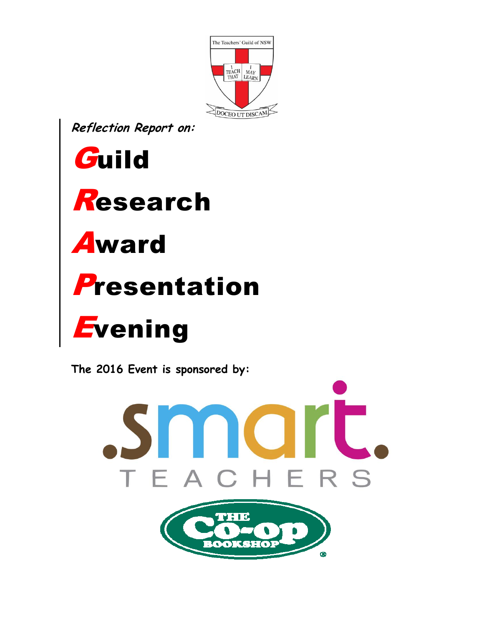

Reflection Report on:



The 2016 Event is sponsored by: mart. EACHERS THE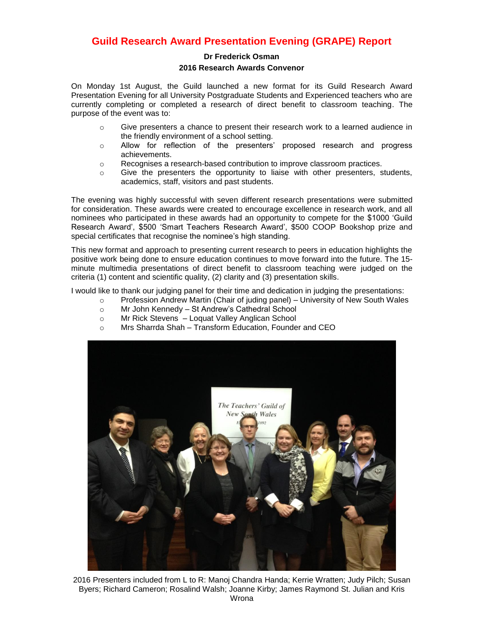## **Guild Research Award Presentation Evening (GRAPE) Report**

## **Dr Frederick Osman 2016 Research Awards Convenor**

On Monday 1st August, the Guild launched a new format for its Guild Research Award Presentation Evening for all University Postgraduate Students and Experienced teachers who are currently completing or completed a research of direct benefit to classroom teaching. The purpose of the event was to:

- o Give presenters a chance to present their research work to a learned audience in the friendly environment of a school setting.
- o Allow for reflection of the presenters' proposed research and progress achievements.
- o Recognises a research-based contribution to improve classroom practices.
- $\circ$  Give the presenters the opportunity to liaise with other presenters, students, academics, staff, visitors and past students.

The evening was highly successful with seven different research presentations were submitted for consideration. These awards were created to encourage excellence in research work, and all nominees who participated in these awards had an opportunity to compete for the \$1000 'Guild Research Award', \$500 'Smart Teachers Research Award', \$500 COOP Bookshop prize and special certificates that recognise the nominee's high standing.

This new format and approach to presenting current research to peers in education highlights the positive work being done to ensure education continues to move forward into the future. The 15 minute multimedia presentations of direct benefit to classroom teaching were judged on the criteria (1) content and scientific quality, (2) clarity and (3) presentation skills.

I would like to thank our judging panel for their time and dedication in judging the presentations:

- $\circ$  Profession Andrew Martin (Chair of juding panel) University of New South Wales
- o Mr John Kennedy St Andrew's Cathedral School
- o Mr Rick Stevens Loquat Valley Anglican School
- o Mrs Sharrda Shah Transform Education, Founder and CEO



2016 Presenters included from L to R: Manoj Chandra Handa; Kerrie Wratten; Judy Pilch; Susan Byers; Richard Cameron; Rosalind Walsh; Joanne Kirby; James Raymond St. Julian and Kris Wrona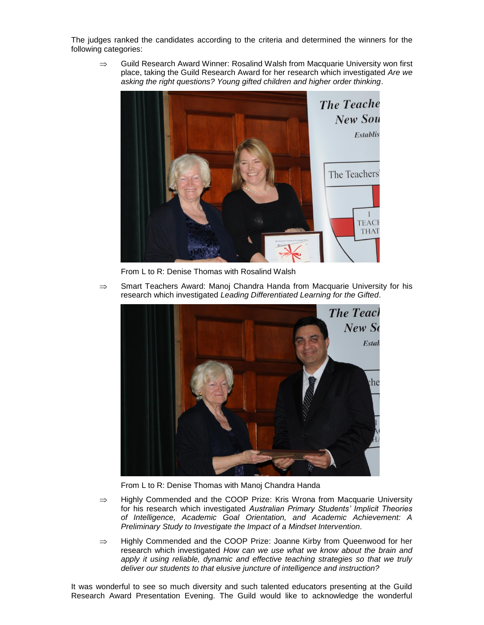The judges ranked the candidates according to the criteria and determined the winners for the following categories:

 $\Rightarrow$  Guild Research Award Winner: Rosalind Walsh from Macquarie University won first place, taking the Guild Research Award for her research which investigated *Are we asking the right questions? Young gifted children and higher order thinking*.



From L to R: Denise Thomas with Rosalind Walsh

 $\Rightarrow$  Smart Teachers Award: Manoj Chandra Handa from Macquarie University for his research which investigated *Leading Differentiated Learning for the Gifted*.



From L to R: Denise Thomas with Manoj Chandra Handa

- $\Rightarrow$  Highly Commended and the COOP Prize: Kris Wrona from Macquarie University for his research which investigated *Australian Primary Students' Implicit Theories of Intelligence, Academic Goal Orientation, and Academic Achievement: A Preliminary Study to Investigate the Impact of a Mindset Intervention*.
- $\Rightarrow$  Highly Commended and the COOP Prize: Joanne Kirby from Queenwood for her research which investigated *How can we use what we know about the brain and*  apply it using reliable, dynamic and effective teaching strategies so that we truly *deliver our students to that elusive juncture of intelligence and instruction?*

It was wonderful to see so much diversity and such talented educators presenting at the Guild Research Award Presentation Evening. The Guild would like to acknowledge the wonderful